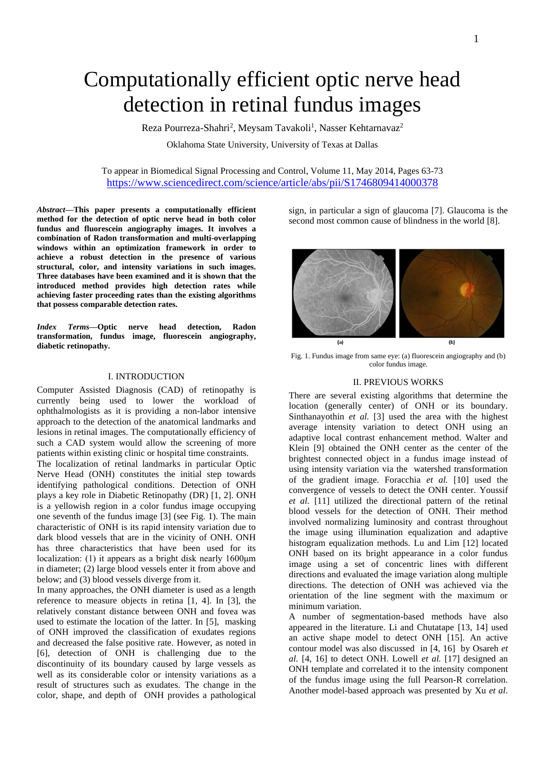# Computationally efficient optic nerve head detection in retinal fundus images

Reza Pourreza-Shahri<sup>2</sup>, Meysam Tavakoli<sup>1</sup>, Nasser Kehtarnavaz<sup>2</sup>

Oklahoma State University, University of Texas at Dallas

To appear in Biomedical Signal Processing and Control, Volume 11, May 2014, Pages 63-73 <https://www.sciencedirect.com/science/article/abs/pii/S1746809414000378>

*Abstract—***This paper presents a computationally efficient method for the detection of optic nerve head in both color fundus and fluorescein angiography images. It involves a combination of Radon transformation and multi-overlapping windows within an optimization framework in order to achieve a robust detection in the presence of various structural, color, and intensity variations in such images. Three databases have been examined and it is shown that the introduced method provides high detection rates while achieving faster proceeding rates than the existing algorithms that possess comparable detection rates.** 

*Index Terms—***Optic nerve head detection, Radon transformation, fundus image, fluorescein angiography, diabetic retinopathy.**

# I. INTRODUCTION

Computer Assisted Diagnosis (CAD) of retinopathy is currently being used to lower the workload of ophthalmologists as it is providing a non-labor intensive approach to the detection of the anatomical landmarks and lesions in retinal images. The computationally efficiency of such a CAD system would allow the screening of more patients within existing clinic or hospital time constraints.

The localization of retinal landmarks in particular Optic Nerve Head (ONH) constitutes the initial step towards identifying pathological conditions. Detection of ONH plays a key role in Diabetic Retinopathy (DR) [1, 2]. ONH is a yellowish region in a color fundus image occupying one seventh of the fundus image [3] (see Fig. 1). The main characteristic of ONH is its rapid intensity variation due to dark blood vessels that are in the vicinity of ONH. ONH has three characteristics that have been used for its localization: (1) it appears as a bright disk nearly 1600μm in diameter; (2) large blood vessels enter it from above and below; and (3) blood vessels diverge from it.

In many approaches, the ONH diameter is used as a length reference to measure objects in retina [1, 4]. In [3], the relatively constant distance between ONH and fovea was used to estimate the location of the latter. In [5], masking of ONH improved the classification of exudates regions and decreased the false positive rate. However, as noted in [6], detection of ONH is challenging due to the discontinuity of its boundary caused by large vessels as well as its considerable color or intensity variations as a result of structures such as exudates. The change in the color, shape, and depth of ONH provides a pathological

sign, in particular a sign of glaucoma [7]. Glaucoma is the second most common cause of blindness in the world [8].



Fig. 1. Fundus image from same eye: (a) fluorescein angiography and (b) color fundus image.

## II. PREVIOUS WORKS

There are several existing algorithms that determine the location (generally center) of ONH or its boundary. Sinthanayothin *et al.* [3] used the area with the highest average intensity variation to detect ONH using an adaptive local contrast enhancement method. Walter and Klein [9] obtained the ONH center as the center of the brightest connected object in a fundus image instead of using intensity variation via the watershed transformation of the gradient image. Foracchia *et al.* [\[10\]](#page-7-0) used the convergence of vessels to detect the ONH center. Youssif *et al.* [\[11\]](#page-7-1) utilized the directional pattern of the retinal blood vessels for the detection of ONH. Their method involved normalizing luminosity and contrast throughout the image using illumination equalization and adaptive histogram equalization methods. Lu and Lim [\[12\]](#page-7-2) located ONH based on its bright appearance in a color fundus image using a set of concentric lines with different directions and evaluated the image variation along multiple directions. The detection of ONH was achieved via the orientation of the line segment with the maximum or minimum variation.

A number of segmentation-based methods have also appeared in the literature. Li and Chutatape [\[13,](#page-7-3) [14\]](#page-8-0) used an active shape model to detect ONH [\[15\]](#page-8-1). An active contour model was also discussed in [4, [16\]](#page-8-2) by Osareh *et al.* [4, [16\]](#page-8-2) to detect ONH. Lowell *et al.* [\[17\]](#page-8-3) designed an ONH template and correlated it to the intensity component of the fundus image using the full Pearson-R correlation. Another model-based approach was presented by Xu *et al*.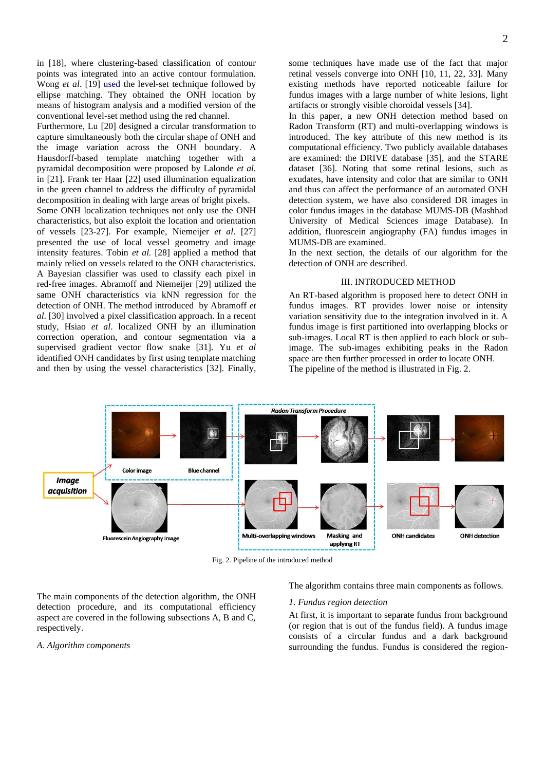in [\[18\]](#page-8-4), where clustering-based classification of contour points was integrated into an active contour formulation. Wong *et al*. [\[19\]](#page-8-5) used the level-set technique followed by ellipse matching. They obtained the ONH location by means of histogram analysis and a modified version of the conventional level-set method using the red channel.

Furthermore, Lu [\[20\]](#page-8-6) designed a circular transformation to capture simultaneously both the circular shape of ONH and the image variation across the ONH boundary. A Hausdorff-based template matching together with a pyramidal decomposition were proposed by Lalonde *et al.*  in [\[21\]](#page-8-7). Frank ter Haar [\[22\]](#page-8-8) used illumination equalization in the green channel to address the difficulty of pyramidal decomposition in dealing with large areas of bright pixels. Some ONH localization techniques not only use the ONH characteristics, but also exploit the location and orientation of vessels [\[23-27\]](#page-8-9). For example, Niemeijer *et al*. [\[27\]](#page-8-10) presented the use of local vessel geometry and image intensity features. Tobin *et al.* [\[28\]](#page-8-11) applied a method that mainly relied on vessels related to the ONH characteristics. A Bayesian classifier was used to classify each pixel in red-free images. Abramoff and Niemeijer [\[29\]](#page-8-12) utilized the same ONH characteristics via kNN regression for the detection of ONH. The method introduced by Abramoff *et* 

*al*. [\[30\]](#page-8-13) involved a pixel classification approach. In a recent study, Hsiao *et al*. localized ONH by an illumination correction operation, and contour segmentation via a supervised gradient vector flow snake [\[31\]](#page-8-14). Yu *et al* identified ONH candidates by first using template matching and then by using the vessel characteristics [\[32\]](#page-8-15). Finally,

some techniques have made use of the fact that major retinal vessels converge into ONH [\[10,](#page-7-0) [11,](#page-7-1) [22,](#page-8-8) [33\]](#page-8-16). Many existing methods have reported noticeable failure for fundus images with a large number of white lesions, light artifacts or strongly visible choroidal vessels [34].

In this paper, a new ONH detection method based on Radon Transform (RT) and multi-overlapping windows is introduced. The key attribute of this new method is its computational efficiency. Two publicly available databases are examined: the DRIVE database [\[35\]](#page-8-17), and the STARE dataset [\[36\]](#page-8-18). Noting that some retinal lesions, such as exudates, have intensity and color that are similar to ONH and thus can affect the performance of an automated ONH detection system, we have also considered DR images in color fundus images in the database MUMS-DB (Mashhad University of Medical Sciences image Database). In addition, fluorescein angiography (FA) fundus images in MUMS-DB are examined.

In the next section, the details of our algorithm for the detection of ONH are described.

## III. INTRODUCED METHOD

An RT-based algorithm is proposed here to detect ONH in fundus images. RT provides lower noise or intensity variation sensitivity due to the integration involved in it. A fundus image is first partitioned into overlapping blocks or sub-images. Local RT is then applied to each block or subimage. The sub-images exhibiting peaks in the Radon space are then further processed in order to locate ONH. The pipeline of the method is illustrated in Fig. 2.



Fig. 2. Pipeline of the introduced method

The main components of the detection algorithm, the ONH detection procedure, and its computational efficiency aspect are covered in the following subsections A, B and C, respectively.

## *A. Algorithm components*

The algorithm contains three main components as follows.

### *1. Fundus region detection*

At first, it is important to separate fundus from background (or region that is out of the fundus field). A fundus image consists of a circular fundus and a dark background surrounding the fundus. Fundus is considered the region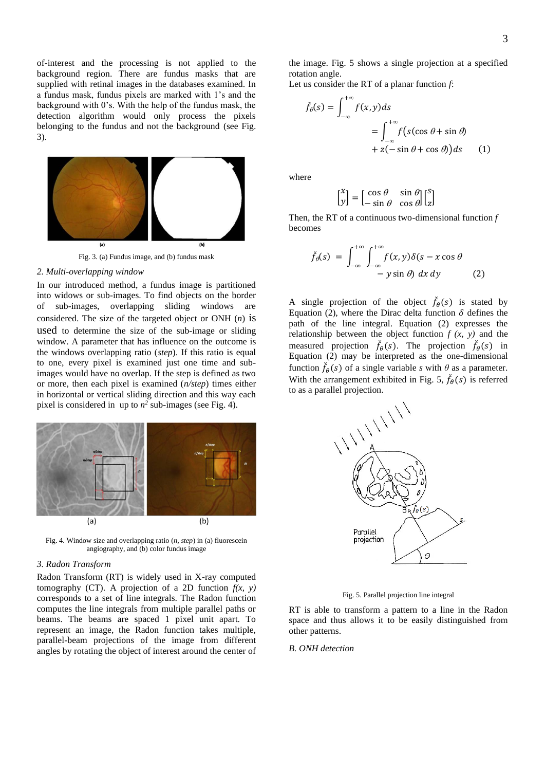of-interest and the processing is not applied to the background region. There are fundus masks that are supplied with retinal images in the databases examined. In a fundus mask, fundus pixels are marked with 1's and the background with 0's. With the help of the fundus mask, the detection algorithm would only process the pixels belonging to the fundus and not the background (see Fig. 3).



*2. Multi-overlapping window*

In our introduced method, a fundus image is partitioned into widows or sub-images. To find objects on the border of sub-images, overlapping sliding windows are considered. The size of the targeted object or ONH (*n*) is used to determine the size of the sub-image or sliding window. A parameter that has influence on the outcome is the windows overlapping ratio (*step*). If this ratio is equal to one, every pixel is examined just one time and subimages would have no overlap. If the step is defined as two or more, then each pixel is examined (*n/step*) times either in horizontal or vertical sliding direction and this way each pixel is considered in up to  $n^2$  sub-images (see Fig. 4).



Fig. 4. Window size and overlapping ratio (*n, step*) in (a) fluorescein angiography, and (b) color fundus image

# *3. Radon Transform*

Radon Transform (RT) is widely used in X-ray computed tomography (CT). A projection of a 2D function  $f(x, y)$ corresponds to a set of line integrals. The Radon function computes the line integrals from multiple parallel paths or beams. The beams are spaced 1 pixel unit apart. To represent an image, the Radon function takes multiple, parallel-beam projections of the image from different angles by rotating the object of interest around the center of

the image. Fig. 5 shows a single projection at a specified rotation angle.

Let us consider the RT of a planar function *f*:

$$
\check{f}_{\theta}(s) = \int_{-\infty}^{+\infty} f(x, y) ds
$$
  
= 
$$
\int_{-\infty}^{+\infty} f(s(\cos \theta + \sin \theta)) ds
$$
  
+ 
$$
z(-\sin \theta + \cos \theta)) ds
$$
 (1)

where

$$
\begin{bmatrix} x \\ y \end{bmatrix} = \begin{bmatrix} \cos \theta & \sin \theta \\ -\sin \theta & \cos \theta \end{bmatrix} \begin{bmatrix} s \\ z \end{bmatrix}
$$

Then, the RT of a continuous two-dimensional function *f* becomes

$$
\check{f}_{\theta}(s) = \int_{-\infty}^{+\infty} \int_{-\infty}^{+\infty} f(x, y) \delta(s - x \cos \theta - y \sin \theta) dx dy
$$
\n(2)

A single projection of the object  $\check{f}_{\theta}(s)$  is stated by Equation (2), where the Dirac delta function  $\delta$  defines the path of the line integral. Equation (2) expresses the relationship between the object function  $f(x, y)$  and the measured projection  $\check{f}_{\theta}(s)$ . The projection  $\check{f}_{\theta}(s)$  in Equation  $(2)$  may be interpreted as the one-dimensional function  $\check{f}_{\theta}(s)$  of a single variable *s* with  $\theta$  as a parameter. With the arrangement exhibited in Fig. 5,  $\check{f}_{\theta}(s)$  is referred



Fig. 5. Parallel projection line integral

RT is able to transform a pattern to a line in the Radon space and thus allows it to be easily distinguished from other patterns.

# *B. ONH detection*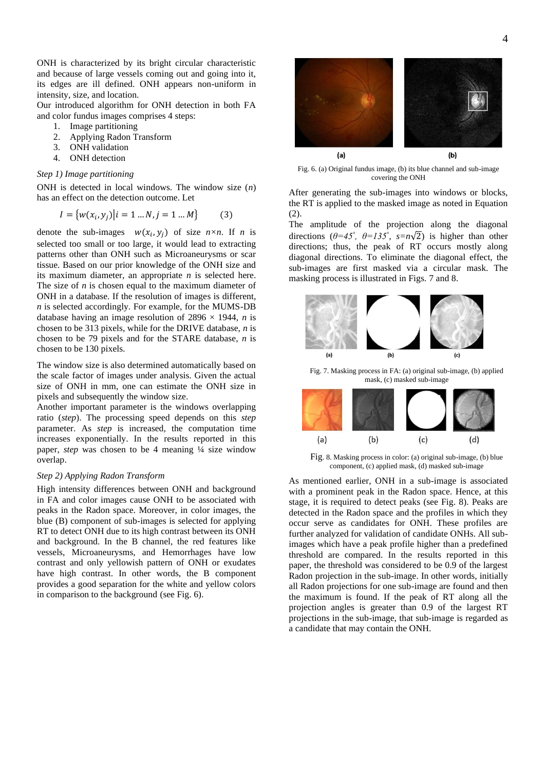ONH is characterized by its bright circular characteristic and because of large vessels coming out and going into it, its edges are ill defined. ONH appears non-uniform in intensity, size, and location.

Our introduced algorithm for ONH detection in both FA and color fundus images comprises 4 steps:

- 1. Image partitioning
- 2. Applying Radon Transform
- 3. ONH validation
- 4. ONH detection

# *Step 1) Image partitioning*

ONH is detected in local windows. The window size (*n*) has an effect on the detection outcome. Let

$$
I = \{w(x_i, y_j) | i = 1 ... N, j = 1 ... M\}
$$
 (3)

denote the sub-images  $w(x_i, y_j)$  of size  $n \times n$ . If *n* is selected too small or too large, it would lead to extracting patterns other than ONH such as Microaneurysms or scar tissue. Based on our prior knowledge of the ONH size and its maximum diameter, an appropriate *n* is selected here. The size of *n* is chosen equal to the maximum diameter of ONH in a database. If the resolution of images is different, *n* is selected accordingly. For example, for the MUMS-DB database having an image resolution of  $2896 \times 1944$ , *n* is chosen to be 313 pixels, while for the DRIVE database, *n* is chosen to be 79 pixels and for the STARE database, *n* is chosen to be 130 pixels.

The window size is also determined automatically based on the scale factor of images under analysis. Given the actual size of ONH in mm, one can estimate the ONH size in pixels and subsequently the window size.

Another important parameter is the windows overlapping ratio (*step*). The processing speed depends on this *step* parameter. As *step* is increased, the computation time increases exponentially. In the results reported in this paper, *step* was chosen to be 4 meaning ¼ size window overlap.

# *Step 2) Applying Radon Transform*

High intensity differences between ONH and background in FA and color images cause ONH to be associated with peaks in the Radon space. Moreover, in color images, the blue (B) component of sub-images is selected for applying RT to detect ONH due to its high contrast between its ONH and background. In the B channel, the red features like vessels, Microaneurysms, and Hemorrhages have low contrast and only yellowish pattern of ONH or exudates have high contrast. In other words, the B component provides a good separation for the white and yellow colors in comparison to the background (see Fig. 6).



Fig. 6. (a) Original fundus image, (b) its blue channel and sub-image covering the ONH

After generating the sub-images into windows or blocks, the RT is applied to the masked image as noted in Equation (2).

The amplitude of the projection along the diagonal directions  $(\theta = 45^\circ, \theta = 135^\circ, s = n\sqrt{2})$  is higher than other directions; thus, the peak of RT occurs mostly along diagonal directions. To eliminate the diagonal effect, the sub-images are first masked via a circular mask. The masking process is illustrated in Figs. 7 and 8.



Fig. 7. Masking process in FA: (a) original sub-image, (b) applied mask, (c) masked sub-image



Fig. 8. Masking process in color: (a) original sub-image, (b) blue component, (c) applied mask, (d) masked sub-image

As mentioned earlier, ONH in a sub-image is associated with a prominent peak in the Radon space. Hence, at this stage, it is required to detect peaks (see Fig. 8). Peaks are detected in the Radon space and the profiles in which they occur serve as candidates for ONH. These profiles are further analyzed for validation of candidate ONHs. All subimages which have a peak profile higher than a predefined threshold are compared. In the results reported in this paper, the threshold was considered to be 0.9 of the largest Radon projection in the sub-image. In other words, initially all Radon projections for one sub-image are found and then the maximum is found. If the peak of RT along all the projection angles is greater than 0.9 of the largest RT projections in the sub-image, that sub-image is regarded as a candidate that may contain the ONH.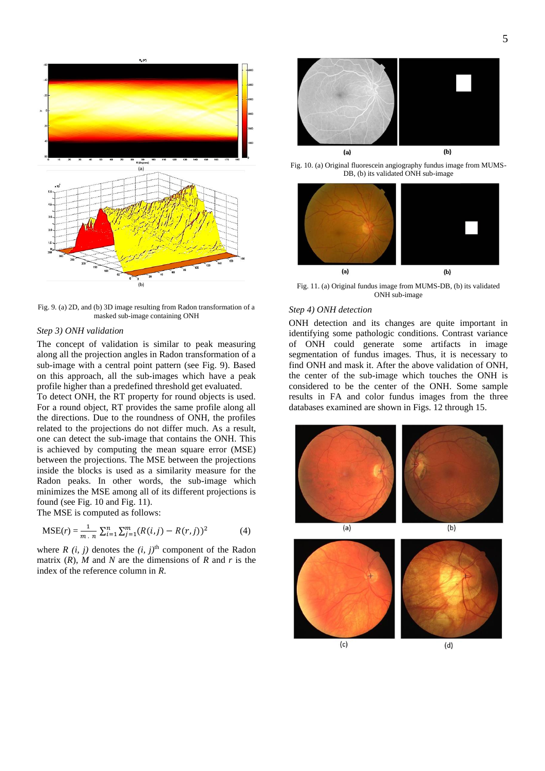

Fig. 9. (a) 2D, and (b) 3D image resulting from Radon transformation of a masked sub-image containing ONH

## *Step 3) ONH validation*

The concept of validation is similar to peak measuring along all the projection angles in Radon transformation of a sub-image with a central point pattern (see Fig. 9). Based on this approach, all the sub-images which have a peak profile higher than a predefined threshold get evaluated.

To detect ONH, the RT property for round objects is used. For a round object, RT provides the same profile along all the directions. Due to the roundness of ONH, the profiles related to the projections do not differ much. As a result, one can detect the sub-image that contains the ONH. This is achieved by computing the mean square error (MSE) between the projections. The MSE between the projections inside the blocks is used as a similarity measure for the Radon peaks. In other words, the sub-image which minimizes the MSE among all of its different projections is found (see Fig. 10 and Fig. 11).

The MSE is computed as follows:

$$
MSE(r) = \frac{1}{m \cdot n} \sum_{i=1}^{n} \sum_{j=1}^{m} (R(i,j) - R(r,j))^2
$$
 (4)

where  $R$  (*i, j*) denotes the  $(i, j)$ <sup>th</sup> component of the Radon matrix  $(R)$ , *M* and *N* are the dimensions of *R* and *r* is the index of the reference column in *R*.



Fig. 10. (a) Original fluorescein angiography fundus image from MUMS-DB, (b) its validated ONH sub-image



Fig. 11. (a) Original fundus image from MUMS-DB, (b) its validated ONH sub-image

# *Step 4) ONH detection*

ONH detection and its changes are quite important in identifying some pathologic conditions. Contrast variance of ONH could generate some artifacts in image segmentation of fundus images. Thus, it is necessary to find ONH and mask it. After the above validation of ONH, the center of the sub-image which touches the ONH is considered to be the center of the ONH. Some sample results in FA and color fundus images from the three databases examined are shown in Figs. 12 through 15.

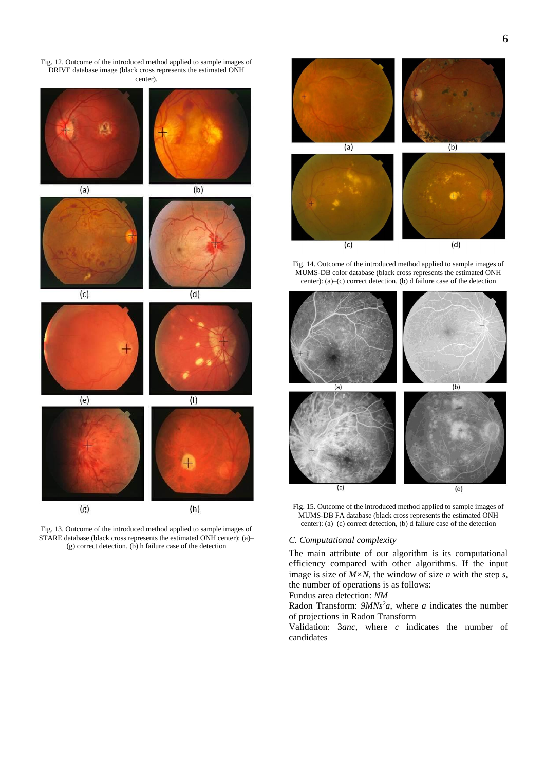Fig. 12. Outcome of the introduced method applied to sample images of DRIVE database image (black cross represents the estimated ONH center).



Fig. 13. Outcome of the introduced method applied to sample images of STARE database (black cross represents the estimated ONH center): (a)– (g) correct detection, (b) h failure case of the detection



Fig. 14. Outcome of the introduced method applied to sample images of MUMS-DB color database (black cross represents the estimated ONH center): (a)–(c) correct detection, (b) d failure case of the detection



Fig. 15. Outcome of the introduced method applied to sample images of MUMS-DB FA database (black cross represents the estimated ONH center): (a)–(c) correct detection, (b) d failure case of the detection

# *C. Computational complexity*

The main attribute of our algorithm is its computational efficiency compared with other algorithms. If the input image is size of *M×N*, the window of size *n* with the step *s*, the number of operations is as follows:

Fundus area detection: *NM*

Radon Transform:  $9MNs^2a$ , where *a* indicates the number of projections in Radon Transform

Validation: 3*anc*, where *c* indicates the number of candidates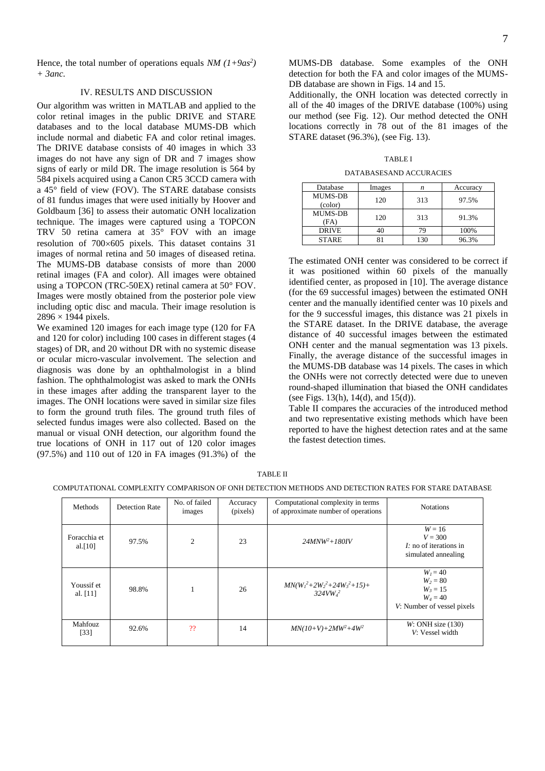Hence, the total number of operations equals  $NM(1+9as^2)$ *+ 3anc.*

## IV. RESULTS AND DISCUSSION

Our algorithm was written in MATLAB and applied to the color retinal images in the public DRIVE and STARE databases and to the local database MUMS-DB which include normal and diabetic FA and color retinal images. The DRIVE database consists of 40 images in which 33 images do not have any sign of DR and 7 images show signs of early or mild DR. The image resolution is 564 by 584 pixels acquired using a Canon CR5 3CCD camera with a 45° field of view (FOV). The STARE database consists of 81 fundus images that were used initially by Hoover and Goldbaum [36] to assess their automatic ONH localization technique. The images were captured using a TOPCON TRV 50 retina camera at 35° FOV with an image resolution of  $700\times605$  pixels. This dataset contains 31 images of normal retina and 50 images of diseased retina. The MUMS-DB database consists of more than 2000 retinal images (FA and color). All images were obtained using a TOPCON (TRC-50EX) retinal camera at 50° FOV. Images were mostly obtained from the posterior pole view including optic disc and macula. Their image resolution is  $2896 \times 1944$  pixels.

We examined 120 images for each image type (120 for FA and 120 for color) including 100 cases in different stages (4 stages) of DR, and 20 without DR with no systemic disease or ocular micro-vascular involvement. The selection and diagnosis was done by an ophthalmologist in a blind fashion. The ophthalmologist was asked to mark the ONHs in these images after adding the transparent layer to the images. The ONH locations were saved in similar size files to form the ground truth files. The ground truth files of selected fundus images were also collected. Based on the manual or visual ONH detection, our algorithm found the true locations of ONH in 117 out of 120 color images (97.5%) and 110 out of 120 in FA images (91.3%) of the

MUMS-DB database. Some examples of the ONH detection for both the FA and color images of the MUMS-DB database are shown in Figs. 14 and 15.

Additionally, the ONH location was detected correctly in all of the 40 images of the DRIVE database (100%) using our method (see Fig. 12). Our method detected the ONH locations correctly in 78 out of the 81 images of the STARE dataset (96.3%), (see Fig. 13).

TABLE I

DATABASESAND ACCURACIES

| Database                  | Images | n   | Accuracy |
|---------------------------|--------|-----|----------|
| <b>MUMS-DB</b><br>(color) | 120    | 313 | 97.5%    |
| <b>MUMS-DB</b><br>(FA)    | 120    | 313 | 91.3%    |
| <b>DRIVE</b>              |        | 70  | 100%     |
| <b>STARE</b>              |        | 30  | 96.3%    |

The estimated ONH center was considered to be correct if it was positioned within 60 pixels of the manually identified center, as proposed in [\[10\]](#page-7-0). The average distance (for the 69 successful images) between the estimated ONH center and the manually identified center was 10 pixels and for the 9 successful images, this distance was 21 pixels in the STARE dataset. In the DRIVE database, the average distance of 40 successful images between the estimated ONH center and the manual segmentation was 13 pixels. Finally, the average distance of the successful images in the MUMS-DB database was 14 pixels. The cases in which the ONHs were not correctly detected were due to uneven round-shaped illumination that biased the ONH candidates (see Figs.  $13(h)$ ,  $14(d)$ , and  $15(d)$ ).

Table II compares the accuracies of the introduced method and two representative existing methods which have been reported to have the highest detection rates and at the same the fastest detection times.

#### COMPUTATIONAL COMPLEXITY COMPARISON OF ONH DETECTION METHODS AND DETECTION RATES FOR STARE DATABASE

| <b>Methods</b>             | Detection Rate | No. of failed<br>images | Accuracy<br>(pixels) | Computational complexity in terms<br>of approximate number of operations | <b>Notations</b>                                                                   |
|----------------------------|----------------|-------------------------|----------------------|--------------------------------------------------------------------------|------------------------------------------------------------------------------------|
| Foracchia et<br>al. $[10]$ | 97.5%          | $\mathfrak{D}$          | 23                   | $24MNW^2 + 180IV$                                                        | $W = 16$<br>$V = 300$<br>$I$ : no of iterations in<br>simulated annealing          |
| Youssif et<br>al. $[11]$   | 98.8%          |                         | 26                   | $MN(W_1^2+2W_2^2+24W_3^2+15)+$<br>324VW <sub>d</sub> <sup>2</sup>        | $W_1 = 40$<br>$W_2 = 80$<br>$W_3 = 15$<br>$W_4 = 40$<br>V: Number of vessel pixels |
| <b>Mahfouz</b><br>[33]     | 92.6%          | ??                      | 14                   | $MN(10+V) + 2MW^2 + 4W^2$                                                | W: ONH size (130)<br>V: Vessel width                                               |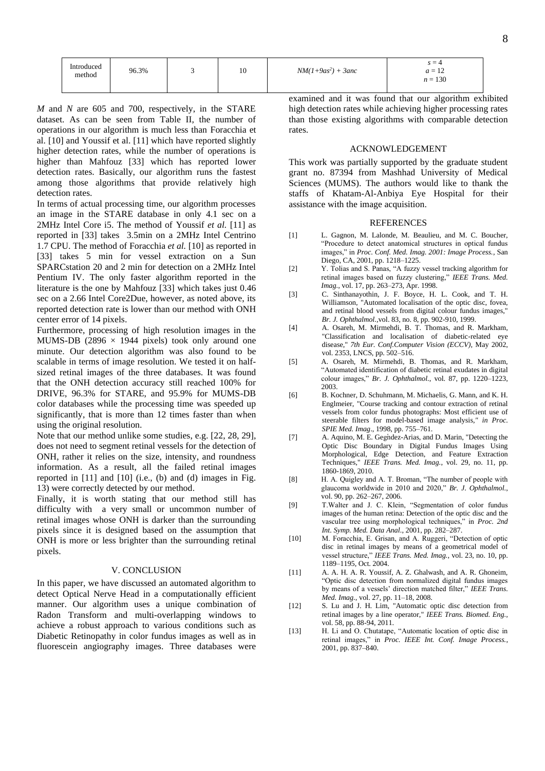| Introduced<br>method | 96.3% | - | 10 | $NM(1+9as^2) + 3anc$ | $s = 4$<br>$\sim$<br>$a = 12$<br>$n = 130$ |  |
|----------------------|-------|---|----|----------------------|--------------------------------------------|--|
|----------------------|-------|---|----|----------------------|--------------------------------------------|--|

*M* and *N* are 605 and 700, respectively, in the STARE dataset. As can be seen from Table II, the number of operations in our algorithm is much less than Foracchia et al. [\[10\]](#page-7-0) and Youssif et al. [\[11\]](#page-7-1) which have reported slightly higher detection rates, while the number of operations is higher than Mahfouz [\[33\]](#page-8-16) which has reported lower detection rates. Basically, our algorithm runs the fastest among those algorithms that provide relatively high detection rates.

In terms of actual processing time, our algorithm processes an image in the STARE database in only 4.1 sec on a 2MHz Intel Core i5. The method of Youssif *et al.* [\[11\]](#page-7-1) as reported in [33] takes 3.5min on a 2MHz Intel Centrino 1.7 CPU. The method of Foracchia *et al.* [\[10\]](#page-7-0) as reported in [33] takes 5 min for vessel extraction on a Sun SPARCstation 20 and 2 min for detection on a 2MHz Intel Pentium IV. The only faster algorithm reported in the literature is the one by Mahfouz [\[33\]](#page-8-16) which takes just 0.46 sec on a 2.66 Intel Core2Due, however, as noted above, its reported detection rate is lower than our method with ONH center error of 14 pixels.

Furthermore, processing of high resolution images in the MUMS-DB (2896  $\times$  1944 pixels) took only around one minute. Our detection algorithm was also found to be scalable in terms of image resolution. We tested it on halfsized retinal images of the three databases. It was found that the ONH detection accuracy still reached 100% for DRIVE, 96.3% for STARE, and 95.9% for MUMS-DB color databases while the processing time was speeded up significantly, that is more than 12 times faster than when using the original resolution.

Note that our method unlike some studies, e.g. [\[22,](#page-8-8) [28,](#page-8-11) [29\]](#page-8-12), does not need to segment retinal vessels for the detection of ONH, rather it relies on the size, intensity, and roundness information. As a result, all the failed retinal images reported in [\[11\]](#page-7-1) and [\[10\]](#page-7-0) (i.e., (b) and (d) images in Fig. 13) were correctly detected by our method.

Finally, it is worth stating that our method still has difficulty with a very small or uncommon number of retinal images whose ONH is darker than the surrounding pixels since it is designed based on the assumption that ONH is more or less brighter than the surrounding retinal pixels.

## V. CONCLUSION

In this paper, we have discussed an automated algorithm to detect Optical Nerve Head in a computationally efficient manner. Our algorithm uses a unique combination of Radon Transform and multi-overlapping windows to achieve a robust approach to various conditions such as Diabetic Retinopathy in color fundus images as well as in fluorescein angiography images. Three databases were

examined and it was found that our algorithm exhibited high detection rates while achieving higher processing rates than those existing algorithms with comparable detection rates.

## ACKNOWLEDGEMENT

This work was partially supported by the graduate student grant no. 87394 from Mashhad University of Medical Sciences (MUMS). The authors would like to thank the staffs of Khatam-Al-Anbiya Eye Hospital for their assistance with the image acquisition.

#### REFERENCES

- [1] L. Gagnon, M. Lalonde, M. Beaulieu, and M. C. Boucher, "Procedure to detect anatomical structures in optical fundus images," in *Proc. Conf. Med. Imag. 2001: Image Process.*, San Diego, CA, 2001, pp. 1218–1225.
- [2] Y. Tolias and S. Panas, "A fuzzy vessel tracking algorithm for retinal images based on fuzzy clustering," *IEEE Trans. Med. Imag.*, vol. 17, pp. 263–273, Apr. 1998.
- [3] C. Sinthanayothin, J. F. Boyce, H. L. Cook, and T. H. Williamson, "Automated localisation of the optic disc, fovea, and retinal blood vessels from digital colour fundus images," *Br. J. Ophthalmol.,*vol. 83, no. 8, pp. 902-910, 1999.
- [4] A. Osareh, M. Mirmehdi, B. T. Thomas, and R. Markham, "Classification and localisation of diabetic-related eye disease," *7th Eur. Conf.Computer Vision (ECCV),* May 2002, vol. 2353, LNCS, pp. 502–516.
- [5] A. Osareh, M. Mirmehdi, B. Thomas, and R. Markham, "Automated identification of diabetic retinal exudates in digital colour images," *Br. J. Ophthalmol.*, vol. 87, pp. 1220–1223, 2003.
- [6] B. Kochner, D. Schuhmann, M. Michaelis, G. Mann, and K. H. Englmeier, "Course tracking and contour extraction of retinal vessels from color fundus photographs: Most efficient use of steerable filters for model-based image analysis*," in Proc. SPIE Med. Imag*., 1998, pp. 755–761.
- [7] A. Aquino, M. E. Gegndez-Arias, and D. Marin, "Detecting the Optic Disc Boundary in Digital Fundus Images Using Morphological, Edge Detection, and Feature Extraction Techniques," *IEEE Trans. Med. Imag.*, vol. 29, no. 11, pp. 1860-1869, 2010.
- [8] H. A. Quigley and A. T. Broman, "The number of people with glaucoma worldwide in 2010 and 2020," *Br. J. Ophthalmol.*, vol. 90, pp. 262–267, 2006.
- [9] T.Walter and J. C. Klein, "Segmentation of color fundus images of the human retina: Detection of the optic disc and the vascular tree using morphological techniques," in *Proc. 2nd Int. Symp. Med. Data Anal.*, 2001, pp. 282–287.
- <span id="page-7-0"></span>[10] M. Foracchia, E. Grisan, and A. Ruggeri, "Detection of optic disc in retinal images by means of a geometrical model of vessel structure," *IEEE Trans. Med. Imag.*, vol. 23, no. 10, pp. 1189–1195, Oct. 2004.
- <span id="page-7-1"></span>[11] A. A. H. A. R. Youssif, A. Z. Ghalwash, and A. R. Ghoneim, "Optic disc detection from normalized digital fundus images by means of a vessels' direction matched filter," *IEEE Trans. Med. Imag.*, vol. 27, pp. 11–18, 2008.
- <span id="page-7-2"></span>[12] S. Lu and J. H. Lim, "Automatic optic disc detection from retinal images by a line operator," *IEEE Trans. Biomed. Eng.,*  vol. 58, pp. 88-94, 2011.
- <span id="page-7-3"></span>[13] H. Li and O. Chutatape, "Automatic location of optic disc in retinal images," in *Proc. IEEE Int. Conf. Image Process.*, 2001, pp. 837–840.